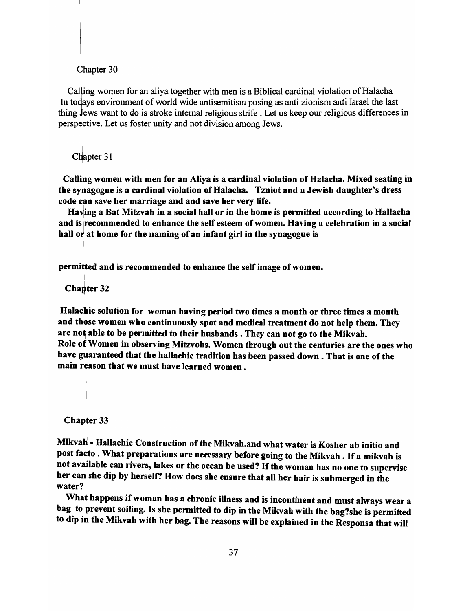Calling women for an aliya together with men is a Biblical cardinal violation of Halacha In todays environment of world wide antisemitism posing as anti zionism anti Israel the last thing Jews want to do is stroke internal religious strife . Let us keep our religious differences in perspective. Let us foster unity and not division among Jews.

Chapter 31

I

Calling women with men for an Aliya is a cardinal violation of Halacha. Mixed seating in the sytagogue is a cardinal violation of Halacha. Tzniot and a Jewish daughter's dress code can save her marriage and and save her very life.

Having a Bat Mitzvah in a social hall or in the home is permitted according to Hallacha and is recommended to enhance the self esteem of women. Having a celebration in a social hall  $or$  at home for the naming of an infant girl in the synagogue is

permitted and is recommended to enhance the self image of women.

I Chapter 32

Halachic solution for woman having period two times a month or three times a month and thbse women who continuously spot and medical treatment do not help them. They are not able to be permitted to their husbands. They can not go to the Mikvah. Role of Women in observing Mitzvohs. Women through out the centuries are the ones who have guaranteed that the hallachic tradition has been passed down. That is one of the main reason that we must have learned women.

I Chapter 33

I

Mikvah - Hallachic Construction of the Mikvah.and what water is Kosher ab initio and post facto . What preparations are necessary before going to the Mikvah . If a mikvah is not available can rivers, lakes or the ocean be used? If the woman has no one to supervise her can she dip by herself? How does she ensure that all her hair is submerged in the water?

What happens if woman has a chronic illness and is incontinent and must always wear a bag to prevent soiling. Is she permitted to dip in the Mikvah with the bag?she is permitted to dip in the Mikvah with her bag. The reasons will be explained in the Responsa that will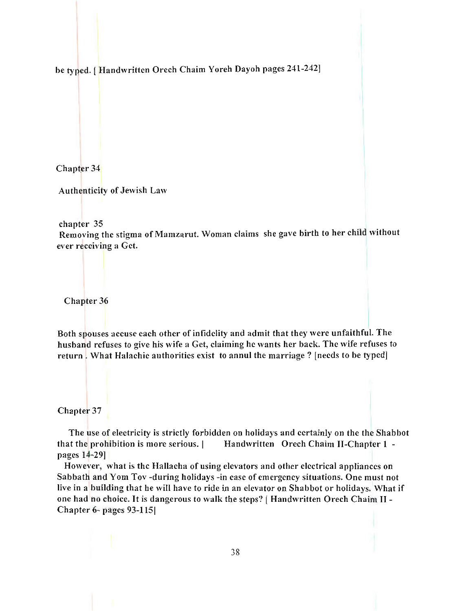be typed. [Handwritten Orech Chaim Yoreh Dayoh pages 241-242]

Chapter 34

Authenticity of Jewish Law

chapter 35

Removing the stigma of Mamzarut. Woman claims she gave birth to her child without ever receiving a Get.

Chapter 36

Both spouses accuse each other of infidelity and admit that they were unfaithful. The husband refuses to give his wife a Get, claiming he wants her back. The wife refuses to return. What Halachic authorities exist to annul the marriage? [needs to be typed]

Chapter 37

The use of electricity is strictly forbidden on holidays and certainly on the the Shabbot that the prohibition is more serious. | Handwritten Orech Chaim II-Chapter 1 pages 14-29J

However, what is the Hallacha of using elevators and other electrical appliances on Sabbath and Yom Tov -during holidays -in case of emergency situations. One must not live in a building that he will have to ride in an elevator on Shabbot or holidays. What if one had no choice. It is dangerous to walk the steps? [Handwritten Orech Chaim II -Chapter 6- pages 93-115)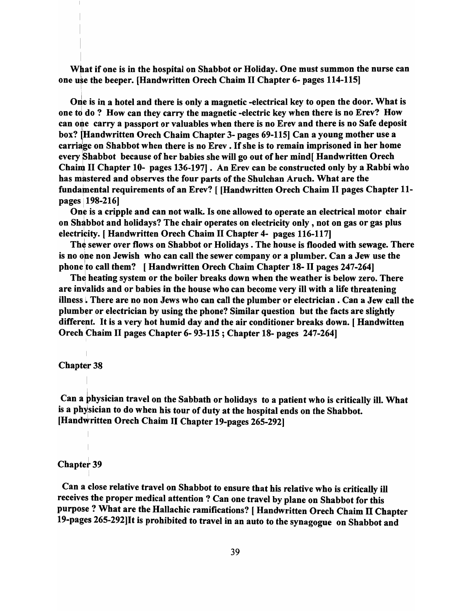What if one is in the hospital on Shabbot or Holiday. One must summon the nurse can one use the beeper. [Handwritten Orech Chaim II Chapter 6- pages 114-115]

One is in a hotel and there is only a magnetic -electrical key to open the door. What is one to do? How can they carry the magnetic -electric key when there is no Erev? How can one carry a passport or valuables when there is no Erev and there is no Safe deposit box? (Handwritten Orech Chaim Chapter 3- pages 69-115] Can a young mother use a carriage on Shabbot when there is no Erev. If she is to remain imprisoned in her home every Shabbot because of her babies she will go out of her mind[ Handwritten Orech Chaim II Chapter 10- pages 136-197]. An Erev can be constructed only by a Rabbi who has mastered and observes the four parts of the Shulchan Aruch. What are the fundamental requirements of an Erev? [ [Handwritten Orech Chaim II pages Chapter 11pages 198-216]

One is a cripple and can not walk. Is one allowed to operate an electrical motor chair on Shabbot and holidays? The chair operates on electricity only, not on gas or gas plus electrieity. [ Handwritten Orech Chaim II Chapter 4- pages 116-117]

The sewer over flows on Shabbot or Holidays. The house is flooded with sewage. There is no one non Jewish who can call the sewer company or a plumber. Can a Jew use the phone to call them? [Handwritten Orech Chaim Chapter 18- II pages 247-264]

The heating system or the boiler breaks down when the weather is below zero. There are invalids and or babies in the house who can become very ill with a life threatening illness L There are no non Jews who can call the plumber or electrician. Can a Jew call the plumber or electrician by using the phone? Similar question but the facts are slightly different. It is a very hot humid day and the air conditioner breaks down. [Handwitten Orech Chaim II pages Chapter 6-93-115; Chapter 18- pages 247-264]

#### **Chapter 38**

I

Can a physician travel on the Sabbath or holidays to a patient who is critically ill. What is a physician to do when his tour of duty at the hospital ends on the Shabbot. [HandWritten Orech Chaim II Chapter 19-pages 265-292]

# Chapter 39

I

Can a close relative travel on Shabbot to ensure that his relative who is critically ill receives the proper medical attention? Can one travel by plane on Shabbot for this purpose? What are the Hallachic ramifications? [ Handwritten Orech Chaim II Chapter 19-pages 265-292]lt is prohibited to travel in an auto to the synagogue on Shabbot and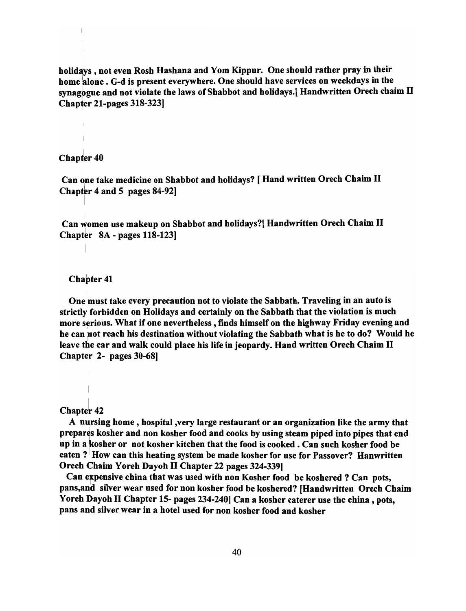holidays, not even Rosh Hashana and Yom Kippur. One should rather pray in their home alone. G-d is present everywhere. One should have services on weekdays in the synagogue and not violate the laws of Shabbot and holidays. [ Handwritten Orech chaim II Chapter 21-pages 318-323]

# Chapter 40

Can one take medicine on Shabbot and holidays? [ Hand written Orech Chaim II Chapter 4 and 5 pages  $84-92$ ]

Can women use makeup on Shabbot and holidays?[ Handwritten Orech Chaim II Chapter  $8A -$  pages 118-123]

## I Chapter 41

One must take every precaution not to violate the Sabbath. Traveling in an auto is strictly forbidden on Holidays and certainly on the Sabbath that the violation is much more serious. What if one nevertheless, finds himself on the highway Friday evening and he can not reach his destination without violating the Sabbath what is he to do? Would he leave the car and walk could place his life in jeopardy. Hand written Orech Chaim II Chapter 2- pages 30-68]

#### Chapter 42

A nursing home, hospital, very large restaurant or an organization like the army that prepares kosher and non kosher food and cooks by using steam piped into pipes that end up in a kosher or not kosher kitchen that the food is cooked. Can such kosher food be eaten? How can this heating system be made kosher for use for Passover? Hanwritten Orech Chaim Yoreh Dayoh II Chapter 22 pages 324-339]

Can expensive china that was used with non Kosher food be koshered ? Can pots, pans,and silver wear used for non kosher food be koshered? [Handwritten Orech Chaim Yoreh Dayoh II Chapter 15- pages 234-240] Can a kosher caterer use the china, pots, pans and silver wear in a hotel used for non kosher food and kosher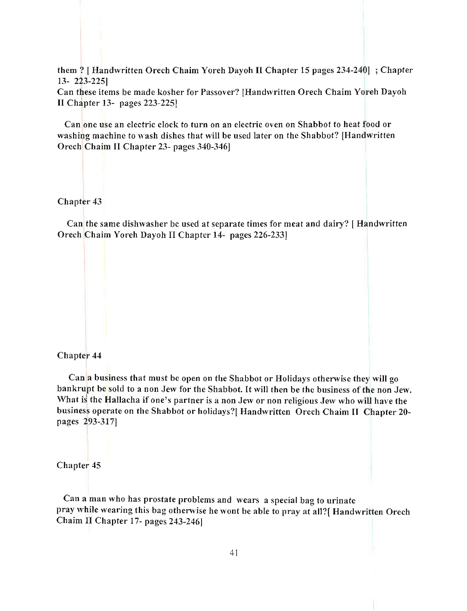them? [ Handwritten Orech Chaim Yoreh Dayoh II Chapter 15 pages 234-240[ ; Chapter 13- 223-225]

Can these items be made kosher for Passover? [Handwritten Orech Chaim Yoreh Dayoh II Chapter 13- pages 223-2251

Can one use an electric clock to turn on an electric oven on Shabbot to heat food or washing machine to wash dishes that will be used later on the Shabbot? [Handwritten Orech Chaim II Chapter 23- pages 340-346]

Chapter 43

Can the same dishwasher be used at separate times for meat and dairy? [ Handwritten Orech Chaim Yoreh Dayoh II Chapter 14- pages 226-233[

## Chapter 44

Can a business that must be open on the Shabbot or Holidays otherwise they will go bankrupt be sold to a non Jew for the Shabbot. It will then be the business of the non Jew. What is the Hallacha if one's partner is a non Jew or non religious Jew who will have the business operate on the Shabbot or holidays?[ Handwritten Orech Chaim II Chapter 20pages 293-317]

Chapter 45

Can a man who has prostate problems and wears a special bag to urinate pray while wearing this bag othenvise he wont be able to pray at all?[ Handwritten Orech Chaim IJ Chapter 17- pages 243-246]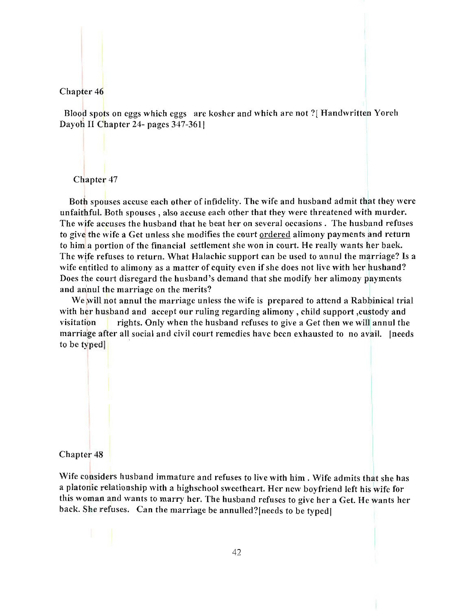Blood spots on eggs which eggs are kosher and which are not '?[ Handwritten Yoreh Dayoh II Chapter 24- pages 347-361]

# Chapter 47

Both spouses accuse each other of infidelity. The wife and husband admit that they were unfaithful. Both spouses, also accuse each other that they were threatened with murder. The wife accuses the husband that he beat her on several occasions. The husband refuses to give the wife a Get unless she modifies the court ordered alimony payments and return to him a portion of the financial settlement she won in court. He really wants her back. The wife refuses to return. What Halachic support can be used to annul the marriage? Is a wife entitled to alimony as a matter of equity even if she does not live with her husband? Does the court disregard the husband's demand that she modify her alimony payments and annul the marriage on the merits?

We will not annul the marriage unless the wife is prepared to attend a Rabbinical trial with ber husband and accept our ruling regarding alimony, child support ,custody and visitation rights. Only when the husband refuses to give a Get then we will annul the marriage after all social and civil court remedies have been exhausted to no avail. [needs to be typed]

# Chapter 48

Wife considers husband immature and refuses to live with him. Wife admits that she has a platonic relationship with a higbschool sweetheart. Her new boyfriend left his wife for this woman and wants to marry her. The husband refuses to give her a Get. He wants her back. She refuses. Can the marriage be annulled? [needs to be typed]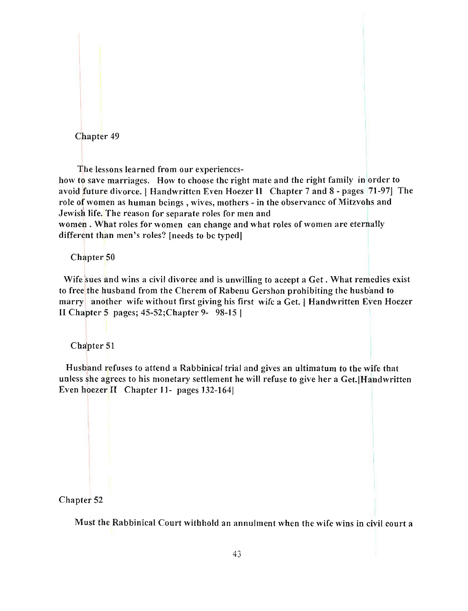The lessons learned from our experiences-

how to save marriages. How to choose the right mate and the right family in order to avoid future divorce. I Handwritten Even Hoezer II Chapter 7 and 8 - pages 71-971 The role of women as human beings, wives, mothers - in the observance of Mitzvohs and Jewish life. The reason for separate roles for men and

women. What roles for women can change and what roles of women are eternally different than men's roles? [needs to be typed]

Chapter 50

Wife sues and wins a civil divorce and is unwilling to accept a Get. What remedies exist to free the husband from the Cherem of Rabenu Gershon prohibiting the husband to marry another wife without first giving his first wife a Get. | Handwritten Even Hoezer II Chapter 5 pages; 45-52;Chapter 9- 98-15 I

Chapter 51

Husband refuses to attend a Rabbinical trial and gives an ultimatum to the wife that unless she agrees to his monetary settlement he will refuse to give her a Get.[Handwritten Even hoezer  $II$  Chapter 11- pages 132-164

## Chapter 52

Must the Rabbinical Court withhold an annulment when the wife wins in civil court a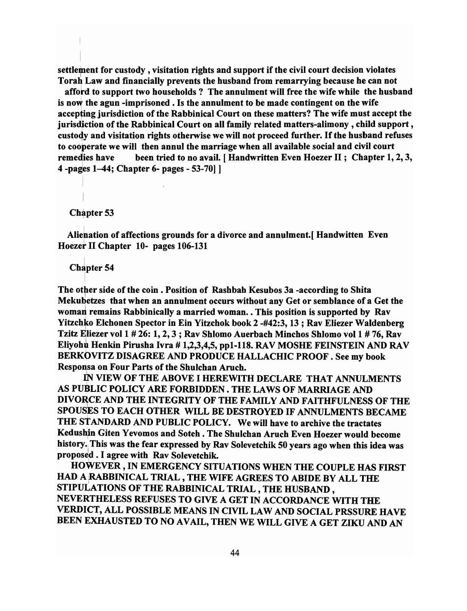settlement for custody, visitation rights and support if the civil court decision violates Torah Law and financially prevents the husband from remarrying because he can not

afford to support two households? The annulment will free the wife while the husband is now the agun -imprisoned. Is the annulment to be made contingent on the wife accepting jurisdiction of the Rabbinical Court on these matters? The wife must accept the jurisdiction of the Rabbinical Court on all family related matters-alimony, child support , custody and visitation rights otherwise we will not proceed further. If the husband refuses to cooperate we will then annul the marriage when all available social and civil court remedies have been tried to no avail. [Handwritten Even Hoezer II; Chapter 1, 2, 3, 4 -pages 1-44; Chapter 6- pages - 53-70] ]

Chapter 53

Alienation of affections grounds for a divorce and annulment. [ Handwitten Even Hoezet II Chapter 10- pages 106-131

**Chapter 54** 

The other side of the coin. Position of Rashbah Kesubos 3a -according to Shita Mekubetzes that when an annulment occurs without any Get or semblance of a Get the woman remains Rabbinically a married woman. . This position is supported by Rav Yitzchko Elchonen Spector in Ein Yitzchok book 2 -#42:3, 13; Rav Eliezer Waldenberg Tzitz Eliezer vol 1 # 26: 1, 2, 3 ; Rav Shlomo Auerbach Minchos Shlomo vol 1 # 76, Rav Eliyohu Henkin Pirusha Ivra # 1,2,3,4,5, pp1-118. RAV MOSHE FEINSTEIN AND RAV BERKOVITZ DISAGREE AND PRODUCE HALLACHIC PROOF . See my book Responsa on Four Parts of the Shulchan Aruch.

IN VIEW OF THE ABOVE I HEREWITH DECLARE THAT ANNULMENTS AS PUBLIC POLICY ARE FORBIDDEN . THE LAWS OF MARRIAGE AND DIVORCE AND THE INTEGRITY OF THE FAMILY AND FAITHFULNESS OF THE SPOUSES TO EACH OTHER WILL BE DESTROYED IF ANNULMENTS BECAME THE STANDARD AND PUBLIC POLICY. We will have to archive the tractates Kedushin Giten Yevomos and Soteh . The Shulchan Aruch Even Hoezer would become history. This was the fear expressed by Rav Solevetchik 50 years ago when this idea was proposed . I agree with Rav Solevetchik.

HOWEVER, IN EMERGENCY SITUATIONS WHEN THE COUPLE HAS FIRST HAD A RABBINICAL TRIAL, THE WIFE AGREES TO ABIDE BY ALL THE STIPULATIONS OF THE RABBINICAL TRIAL, THE HUSBAND, NEVERTHELESS REFUSES TO GIVE A GET IN ACCORDANCE WITH THE VERDICT, ALL POSSIBLE MEANS IN CIVIL LAW AND SOCIAL PRSSURE HAVE BEEN EXHAUSTED TO NO AVAIL, THEN WE WILL GIVE A GET ZIKU AND AN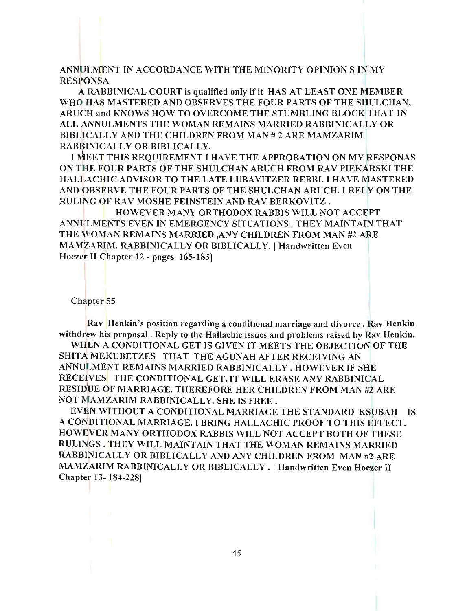ANNULMENT IN ACCORDANCE WITH THE MINORITY OPINION S IN MY **RESPONSA** 

A RABBINICAL COURT is qualified only if it HAS AT LEAST ONE MEMBER WHO HAS MASTERED AND OBSERVES THE FOUR PARTS OF THE SHULCHAN, ARUCH and KNOWS HOW TO OVERCOME THE STUMBLING BLOCK THAT IN ALL ANNULMENTS THE WOMAN REMAINS MARRIED RABBINICALLY OR BIBLICALLY AND THE CHILDREN FROM MAN # 2 ARE MAMZARIM RABBINICALLY OR BIBLICALLY.

I MEET THIS REQUIREMENT I HAVE THE APPROBATION ON MY RESPONAS ON THE FOUR PARTS OF THE SHULCHAN ARUCH FROM RAV PIEKARSKI THE HALLACHIC ADVISOR TO THE LATE LUBAVITZER REBBI. I HAVE MASTERED AND OBSERVE THE FOUR PARTS OF THE SHULCHAN ARUCH. I RELY ON THE RULING OF RAV MOSHE FEINSTEIN AND RAV BERKOVITZ.

HOWEVER MANY ORTHODOX RABBIS WILL NOT ACCEPT ANNULMENTS EVEN IN EMERGENCY SITUATIONS. THEY MAINTAIN THAT THE WOMAN REMAINS MARRIED ,ANY CHILDREN FROM MAN #2 ARE MAMZARIM. RABBINICALLY OR BIBLICALLY.] Handwritten Even Hoezer II Chapter 12 - pages 165-1831

Chapter 55

Rav Henkin's position regarding a conditional marriage and divorce. Rav Henkin withdrew his proposal. Reply to the Hallachic issues and problems raised by Rav Henkin.

WHEN A CONDITIONAL GET IS GIVEN IT MEETS THE OBJECTION OF THE SHITA MEKUBETZES THAT THE AGUNAH AFTER RECEIVING AN ANNULMENT REMAINS MARRIED RABBINICALLY . HOWEVER IF SHE RECEIVES THE CONDITIONAL GET, IT WILL ERASE ANY RABBINICAL RESIDUE OF MARRIAGE. THEREFORE HER CHILDREN FROM MAN #2 ARE NOT MAMZARIM RABBINICALLY. SHE IS FREE.

EVEN WITHOUT A CONDITIONAL MARRIAGE THE STANDARD KSUBAH IS A CONDITIONAL MARRIAGE. I BRING HALLA CHIC PROOF TO THIS EFFECT. HOWEVER MANY ORTHODOX RABBIS WILL NOT ACCEPT BOTH OF THESE RULINGS. THEY WILL MAINTAIN THAT THE WOMAN REMAINS MARRIED RABBINICALLY OR BIBLICALLY AND ANY CHILDREN FROM MAN #2 ARE MAMZARIM RABBINICALLY OR BIBLICALLY. [Handwritten Even Hoezer II Chapter 13- 184-2281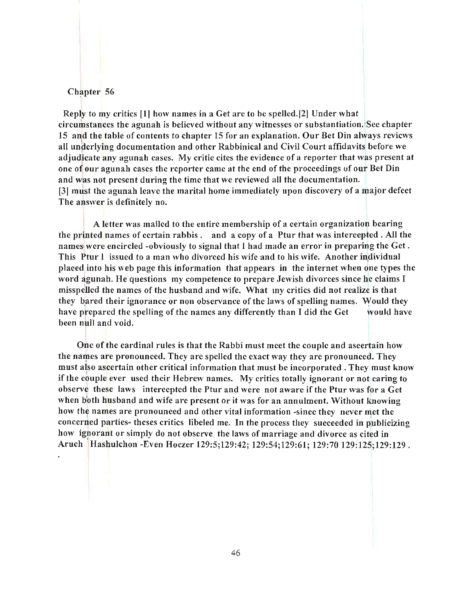Reply to my critics 11] how names in a Get are to be spelled.12] Under what circumstances the agunah is believed without any witnesses or substantiation. See chapter 15 and the table of contents to chapter 15 for an explanation. Our Bet Din always reviews all underlying documentation and other Rabbinical and Civil Court affidavits before we adjudicate any agunah cases. My critic cites the evidence of a reporter that was present at one of our agunah cases the reporter came at the end of the proceedings of our Bet Din and was not present during the time that we reviewed all the documentation. 131 must the agunah leave the marital home immediately upon discovery of a major defect The answer is definitely no.

A letter was mailed to the entire membership of a certain organization bearing the printed names of certain rabbis. and a copy of a Ptur that was intercepted. All the names were encircled -obviously to signal that I had made an error in preparing the Get. This Ptur I issued to a man who divorced his wife and to his wife. Another individual placed into his web page this information that appears in the internet when one types the word agunah. He questions my competence to prepare Jewish divorces since he claims I misspelled the names of the husband and wife. What my critics did not realize is that they bared their ignorance or non observance of the laws of spelling names. Would they have prepared the spelling of the names any differently than I did the Get would have been null and void.

One of the cardinal rules is that the Rabbi must meet the couple and ascertain how the names are pronounced. They are spelled the exact way they are pronounced. They must also ascertain other critical information that must be incorporated. They must know if the couple ever used their Hebrew names. My critics totally ignorant or not caring to observe these laws intercepted the Ptur and were not aware if the Ptur was for a Get when both husband and wife are present or it was for an annulment. Without knowing how the names are pronounced and other vital information -since they never met the concerned parties- theses critics libeled me. In the process they succeeded in publicizing how ignorant or simply do not observe the laws of marriage and divorce as cited in Aruch Hashulchon -Even Hoezer 129:5;129:42; 129:54;129:61; 129:70 129:125;129:129 .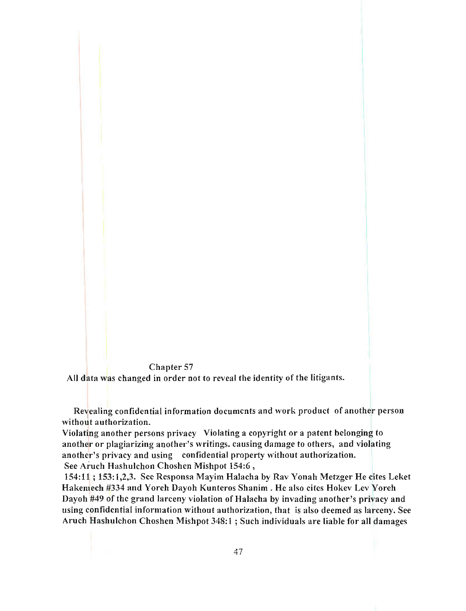All data was changed in order not to reveal the identity of the litigants.

Revealing confidential information documents and work product of another person without authorization.

Violating another persons privacy Violating a copyright or a patent belonging to another or plagiarizing another's writings. causing damage to others, and violating another's privacy and using confidential property without autborization. See Aruch HashuIchon Choshen Mishpot 154:6 ,

154:11 ; 153:1,2,3. See Responsa Mayim Halacha by Rav Yonah Metzger He cites Leket Hakemech #334 and Yoreh Dayoh Kunteros Shanim. He also cites Hokev Lev Yoreh Dayoh #49 of tbe grand larceny violation of Halacha by invading another's privacy and using confidential information without authorization, that is also deemed as larceny. See Aruch HashuIchon Choshen Mishpot 348:1 ; Such individuals are liable for all damages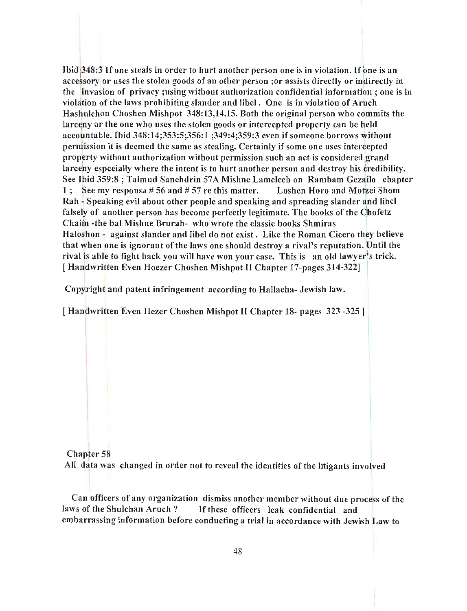Ibid  $348:3$  If one steals in order to hurt another person one is in violation. If one is an accessory or uses the stolen goods of an other person ; or assists directly or indirectly in the invasion of privacy ;using without authorization confidential information; one is in violation of the laws prohibiting slander and libel. One is in violation of Aruch Hashulchon Choshcn Mishpot 348:13,14,15. Both thc original person who commits the larceny or the one who uses the stolen goods or intercepted property can be held accountable. Ibid 348:14;353:5;356:1 ;349:4;359:3 even if someone borrows without permission it is deemed the same as stealing. Certainly if some one uses intercepted property without authorization without permission such an act is considered grand larceny especially whcre the intent is to hurt another person and destroy his credibility. See Ibid 359:8; Talmud Sanchdrin 57A Mishne Lamelech on Rambam Gezailo chapter 1; See my responsa #56 and #57 re this matter. Loshen Horo and Motzei Shom Rah - Speaking evil about other people and speaking and spreading slander and libel falsely of another person has become perfectly legitimate. The books of the Chofetz Chaim -the bal Mishne Brurah- who wrote the classic books Shmiras Haloshon - against slander and libel do not exist. Like the Roman Cicero they believe that when one is ignorant of the laws one should destroy a rival's reputation. Until thc rival is able to fight back you will have won your case. This is an old lawyer's trick. [ Handwritten Even Hoezer Choshen Mishpot II Chapter 17-pages 314-322]

Copyright and patent infringement according to Hallacha- Jewish law.

[ Handwritten Even Hezer Choshen Mishpot II Chapter 18- pages 323 -325 ]

Chapter 58 All data was changed in order not to reveal the identitics of the litigants involved

Can officers of any organization dismiss another member without due process of the laws of the Shulchan Aruch ? If these officers leak confidential and embarrassing information before conducting a trial in accordance with Jewish Law to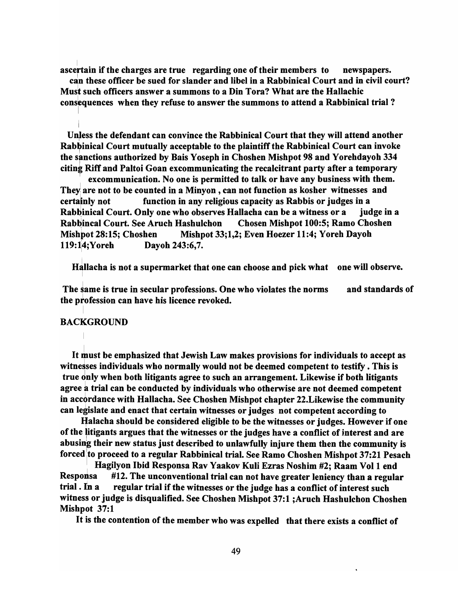ascertain if the charges are true regarding one of their members to mewspapers.

can these officer be sued for slander and libel in a Rabbinical Court and in civil court? Must such officers answer a summons to a Din Tora? What are the Hallachic consequences when they refuse to answer the summons to attend a Rabbinical trial?

Unless the defendant can convince the Rabbinical Court that they will attend another Rabbinical Court mutually acceptable to the plaintiff the Rabbinical Court can invoke the sanctions authorized by Bais Yoseph in Choshen Mishpot 98 and Yorehdayoh 334 citing Riff and Paltoi Goan excommunicating the recalcitrant party after a temporary

excommunication. No one is permitted to talk or have any business with them. They, are not to be counted in a Minyon , can not function as kosher witnesses and certainly not function in any religious capacity as Rabbis or judges in a Rabbinical Court. Only one who observes Hallacha can be a witness or a judge in a Rabbincal Court. See Aruch Hashulchon Chosen Mishpot 100:5; Ramo Choshen Mishpot 28:15; Choshen Mishpot 33;1,2; Even Hoezer 11:4; Yoreh Dayoh 119:14; Yoreh Dayoh 243:6,7.

Hallacha is not a supermarket that one can choose and pick what one will observe.

The same is true in secular professions. One who violates the norms the profession can have his licence revoked. and standards of

## **BACKGROUND**

It must be emphasized that Jewish Law makes provisions for individuals to accept as witnesses individuals who normally would not be deemed competent to testify. This is true dnly when both litigants agree to such an arrangement. Likewise if both litigants agree a trial can be conducted by individuals who otherwise are not deemed competent in accordance with Hallacha. See Choshen Mishpot chapter 22. Likewise the community can legislate and enact that certain witnesses or judges not competent according to

Ifalacha should be considered eligible to be the witnesses or judges. However if one of the litigants argues that the witnesses or the judges have a conflict of interest and are abusing their new status just described to unlawfully injure them then the community is forced to proceed to a regular Rabbinical trial. See Ramo Choshen Mishpot 37:21 Pesach

<sup>I</sup>Hagilyon Ibid Responsa Rav Yaakov Kuli Ezras Noshim #2; Raam Vol 1 end Responsa #12. The unconventional trial can not have greater leniency than a regular trial. In a regular trial if the witnesses or the judge has a conflict of interest such witness or judge is disqualified. See Choshen Mishpot 37:1 ;Aruch Hashulchon Choshen Mishpot 37:1

It is the contention of the member who was expelled that there exists a conflict of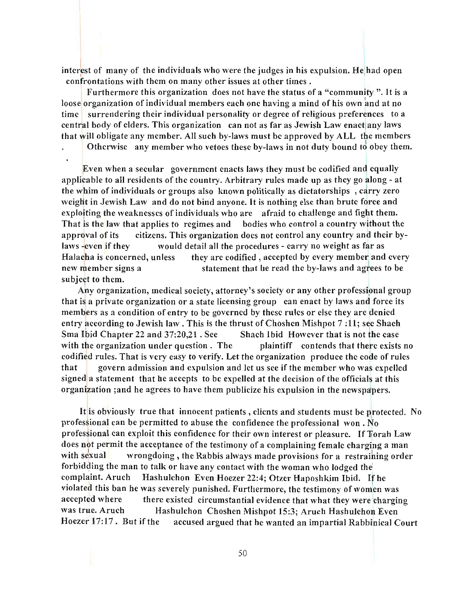interest of many of the individuals who were the judges in his expulsion. He had open confrontations with them on many other issues at other times.

Furthermore this organization does not have the status of a " community ". It is a loose organization of individual members each one having a mind of his own and at no time surrendering their individual personality or degree of religious preferences to a central body of elders. This organization can not as far as Jewish Law enact any laws that will obligate any member. All such by-laws must be approved by ALL the members

Othenvise any member who vetoes these by-laws in not duty bound to obey them.

Even when a secular government enacts laws they must be codified and equally applicable to all residents of the country. Arbitrary rules made up as they go along - at the whim of individuals or groups also known politically as dictatorships, carry zero weight in Jewish Law and do not bind anyone. It is nothing else than brute force and exploiting the weaknesses of individuals who are afraid to challenge and fight them. That is the law that applies to regimes and bodies who control a country without the approval of its citizens. This organization does not control any country and their bylaws -even if they would detail all the procedures - carry no weight as far as Halacha is concerned, unless they arc codified, accepted by every member and every new member signs a statement that he read the by-laws and agrees to be subject to them.

Any organization, medical society, attorney's society or any other professional group that is a private organization or a state licensing group can enact by laws and force its members as a condition of entry to be governed by these rules or else they are denied entry according to Jewish law. This is the thrust of Choshen Mishpot 7 : 11; see Shach Sma Ibid Chapter 22 and 37:20,21 . Sec Shach Ibid However that is not the case with the organization under question. The plaintiff contends that there exists no codified rules. That is very easy to verify. Let the organization produce the code of rules that govern admission and expulsion and let us see if the member who was expelled signed a statement that he accepts to be expelled at the decision of the officials at this organization ;and he agrees to have them publicize his expulsion in the newspapers.

It is obviously true that innocent patients, clients and students must be protected. No professional can be permitted to abuse the confidence the professional won. No professional can exploit this confidence for their own interest or pleasure. If Torah Law does not permit the acceptance of the testimony of a complaining female charging a man with sexual wrongdoing, the Rabbis always made provisions for a restraining order forbidding the man to talk or have any contact with the woman who lodged the complaint. Aruch Hashulchon Even Hoezer 22:4; Otzer Haposhkim Ibid. If he violated this ban he was severely punished. Furthermore, the testimony of women was accepted where there existed circumstantial evidence that what they were charging was true. Aruch Hashulchon Choshen Mishpot 15:3; Aruch Hashulchon Even Hoezer 17:17. But if the accused argued that he wanted an impartial Rabbinical Court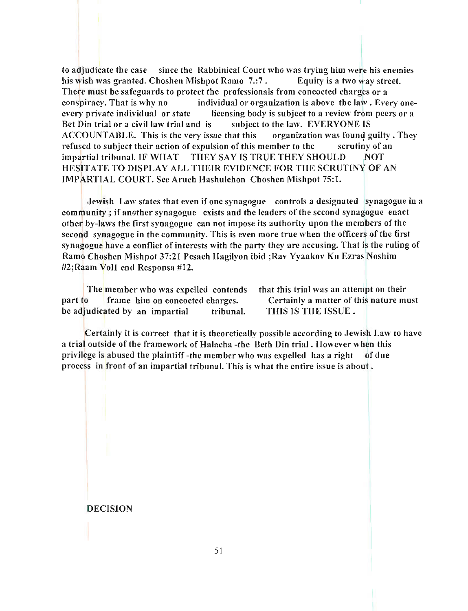to adjudicate the case since the Rabbinical Court who was trying him were his enemies his wish was granted. Choshen Mishpot Ramo 7.:7. Equity is a two way street. There must be safeguards to protect the professionals from concocted charges or a conspiracy. That is why no individual or organization is above the law . Every oneevery private individual or state licensing body is subject to a review from peers or a Bet Din trial or a civil law trial and is subject to the law. EVERYONE IS ACCOUNT ABLE. This is the very issue that this organization was found guilty. They refused to subject their action of expulsion of this member to the scrutiny of an impartial tribunal. IF WHAT THEY SAY IS TRUE THEY SHOULD NOT HESITATE TO DISPLAY ALL THEIR EVIDENCE FOR THE SCRUTINY OF AN IMPARTIAL COURT. See Aruch Hashulchon Choshen Mishpot 75:1.

Jewish Law states that even if one synagogue controls a designated synagogue in a community; if another synagogue exists and the leaders of the second synagogue enact other by-laws the first synagogue can not impose its authority upon the members of the second synagogue in the community. This is even more true when the officers of the first synagogue have a conflict of interests with the party they are accusing. That is the ruling of Ramo Choshen Mishpot 37:21 Pesach Hagilyon ibid ;Rav Yyaakov Ku Ezras Noshim #2;Raam Voll end Responsa #12.

The member who was expelled contends part to frame him on concocted charges. be adjudicated by an impartial tribunal.

that this trial was an attempt on their Certainly a matter of this nature must THIS IS THE ISSUE.

Certainly it is correct that it is theoretically possible according to Jewish Law to have a trial outside of the framework of Halacha -the Beth Din trial. However when this privilege is abused the plaintiff -the member who was expelled has a right of due process in front of an impartial tribunal. This is what the entire issue is about .

DECISION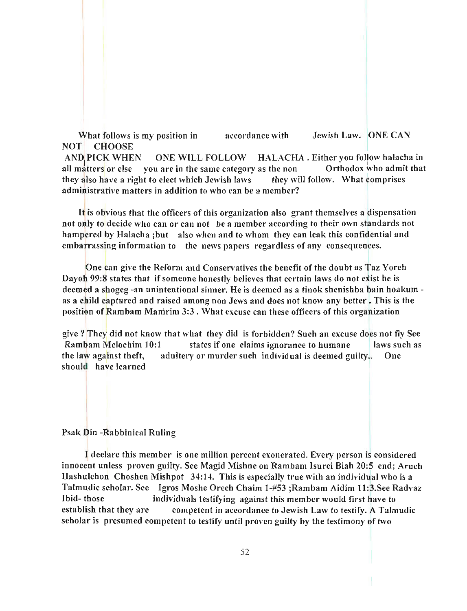What follows is my position in NOT CHOOSE accordance with Jewish Law. ONE CAN

AND PICK WHEN ONE WILL FOLLOW HALACHA. Either you follow haIacha in all matters or else you are in the same category as the non Orthodox who admit that they also have a right to elect which Jewish laws they will follow. What comprises administrative matters in addition to who can be a member?

It is obvious that the officers of this organization also grant themselves a dispensation not only to decide who can or can not be a member according to their own standards not hampered by Halacha ;but also when and to whom they can leak this confidential and embarrassing information to the news papers regardless of any consequences.

One can give the Reform and Conservatives the benefit of the doubt as Taz Yoreh Dayoh 99:8 states that if someone honestly believes that certain laws do not exist he is deemed a shogeg -an unintentional sinner. He is deemed as a tinok shenishba bain hoakum as a child captured and raised among non Jews and does not know any better. This is the position of Rambam Manirim 3:3 . What excuse can these officers of this organization

give? They did not know that what they did is forhidden? Such an excuse does not fly See Rambam Melochim 10:1 states if one claims ignorance to humane laws such as the law against theft, adultery or murder such individual is deemed guilty.. One should have learned

#### Psak Din -Rabbinical Ruling

I declare this member is one million percent exonerated. Every person is considered innocent unless proven guilty. See Magid Mishne on Ramham lsurei Biah 20:5 end; Aruch Hashulchon Choshen Mishpot 34:14. This is especially true with an individual who is a Talmudic scholar. See Igros Moshe Orech Chaim 1-#53 ;Rambam Aidim 1l:3.See Radvaz Ibid- those individuals testifying against this member would first bave to establish that they are competent in accordance to Jewish Law to testify. A Talmudic scholar is presumed competent to testify until proven guilty by the testimony of two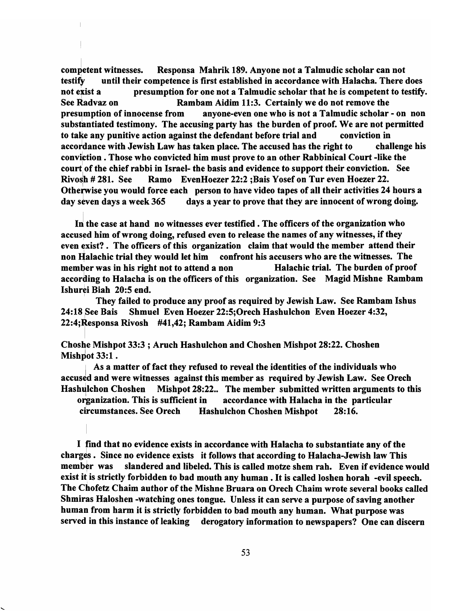comJetent witnesses. Responsa Mahrik 189. Anyone not a Talmudic scholar can not testify until their competence is first established in accordance with Halacha. There does not exist a presumption for one not a Talmudic scholar that he is competent to testify. See Radvaz on Rambam Aidim 11:3. Certainly we do not remove the presumption of innocense from anyone-even one who is not a Talmudic scholar - on non substantiated testimony. The accusing party has the burden of proof. We are not permitted to take any punitive action against the defendant before trial and conviction in accordance with Jewish Law has taken place. The accused has the right to challenge his conviftion • Those who convicted him must prove to an other Rabbinical Court -like the court of the chief rabbi in Israel- the basis and evidence to support their conviction. See Rivosh  $#281.$  See Ramo EvenHoezer 22:2 ;Bais Yosef on Tur even Hoezer 22. Otherwise you would force each person to have video tapes of all their activities 24 hours a day seven days a week  $365$  days a year to prove that they are innocent of wrong doing.

In the case at hand no witnesses ever testified. The officers of the organization who accused him of wrong doing, refused even to release the names of any witnesses, if they even exist?. The officers of this organization claim that would the member attend their non Halachic trial they would let him confront his accusers who are the witnesses. The member was in his right not to attend a non Halachic trial. The burden of proof according to Halacha is on the officers of this organization. See Magid Mishne Rambam Ishurei Biah 20:5 end.

They failed to produce any proof as required by Jewish Law. See Rambam Ishus 24:18 See Bais Shmuel Even Hoezer 22:5;Orech Hashulchon Even Hoezer 4:32, 22:4;Responsa Rivosh #41,42; Rambam Aidim 9:3

Choshe Mishpot 33:3 ; Aruch Hashulchon and Choshen Mishpot 28:22. Choshen Mishpot 33:1.

As a matter of fact they refused to reveal the identities of the individuals who accused and were witnesses against this member as required by Jewish Law. See Orech Hashulchon Choshen Mishpot 28:22.. The member submitted written arguments to this organization. This is sufficient in accordance with Halacha in the particular circumstances. See Orech Hashulchon Choshen Mishpot 28:16.

I find that no evidence exists in accordance with Halacha to substantiate any of the charges. Since no evidence exists it follows that according to Halacha-Jewish law This member was slandered and libeled. This is called motze shem rah. Even if evidence would exist it is strictly forbidden to bad mouth any human. It is called loshen horah -evil speech. The Chofetz Chaim author of the Mishne Bruara on Orech Chaim wrote several books called Shmiras Haloshen -watching ones tongue. Unless it can serve a purpose of saving another human from harm it is strictly forbidden to bad mouth any human. What purpose was served in this instance of leaking derogatory information to newspapers? One can discern